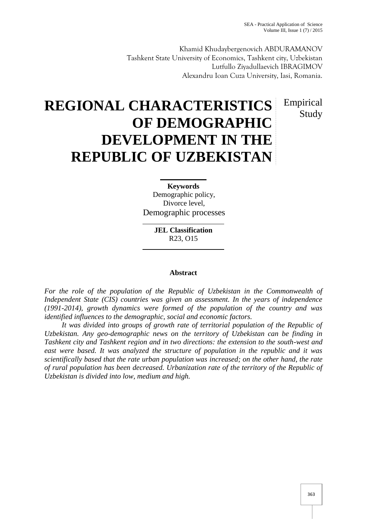Khamid Khudaybergenovich ABDURAMANOV Tashkent State University of Economics, Tashkent city, Uzbekistan Lutfullo Ziyadullaevich IBRAGIMOV Alexandru Ioan Cuza University, Iasi, Romania.

## Empirical Study

# **REGIONAL CHARACTERISTICS OF DEMOGRAPHIC DEVELOPMENT IN THE REPUBLIC OF UZBEKISTAN**

**Keywords** Demographic policy, Divorce level, Demographic processes

> **JEL Classification** R23, O15

#### **Abstract**

*For the role of the population of the Republic of Uzbekistan in the Commonwealth of Independent State (CIS) countries was given an assessment. In the years of independence (1991-2014), growth dynamics were formed of the population of the country and was identified influences to the demographic, social and economic factors.*

*It was divided into groups of growth rate of territorial population of the Republic of Uzbekistan. Any geo-demographic news on the territory of Uzbekistan can be finding in Tashkent city and Tashkent region and in two directions: the extension to the south-west and east were based. It was analyzed the structure of population in the republic and it was scientifically based that the rate urban population was increased; on the other hand, the rate of rural population has been decreased. Urbanization rate of the territory of the Republic of Uzbekistan is divided into low, medium and high.*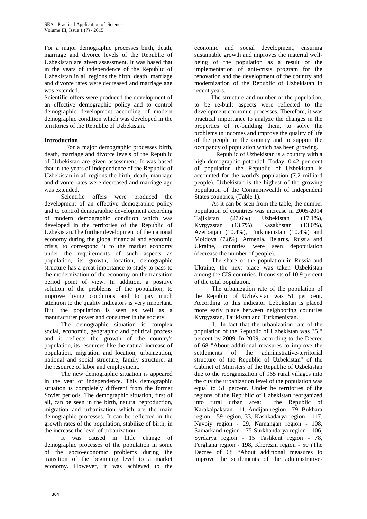For a major demographic processes birth, death, marriage and divorce levels of the Republic of Uzbekistan are given assessment. It was based that in the years of independence of the Republic of Uzbekistan in all regions the birth, death, marriage and divorce rates were decreased and marriage age was extended.

Scientific offers were produced the development of an effective demographic policy and to control demographic development according of modern demographic condition which was developed in the territories of the Republic of Uzbekistan.

#### **Introduction**

For a major demographic processes birth, death, marriage and divorce levels of the Republic of Uzbekistan are given assessment. It was based that in the years of independence of the Republic of Uzbekistan in all regions the birth, death, marriage and divorce rates were decreased and marriage age was extended.

Scientific offers were produced the development of an effective demographic policy and to control demographic development according of modern demographic condition which was developed in the territories of the Republic of Uzbekistan.The further development of the national economy during the global financial and economic crisis, to correspond it to the market economy under the requirements of such aspects as population, its growth, location, demographic structure has a great importance to study to pass to the modernization of the economy on the transition period point of view. In addition, a positive solution of the problems of the population, to improve living conditions and to pay much attention to the quality indicators is very important. But, the population is seen as well as a manufacturer power and consumer in the society.

The demographic situation is complex social, economic, geographic and political process and it reflects the growth of the country's population, its resources like the natural increase of population, migration and location, urbanization, national and social structure, family structure, at the resource of labor and employment.

The new demographic situation is appeared in the year of independence. This demographic situation is completely different from the former Soviet periods. The demographic situation, first of all, can be seen in the birth, natural reproduction, migration and urbanization which are the main demographic processes. It can be reflected in the growth rates of the population, stabilize of birth, in the increase the level of urbanization.

It was caused in little change of demographic processes of the population in some of the socio-economic problems during the transition of the beginning level to a market economy. However, it was achieved to the

economic and social development, ensuring sustainable growth and improves the material well being of the population as a result of the implementation of anti-crisis program for the renovation and the development of the country and modernization of the Republic of Uzbekistan in recent years.

The structure and number of the population, to be re-built aspects were reflected to the development economic processes. Therefore, it was practical importance to analyze the changes in the properties of re-building them, to solve the problems in incomes and improve the quality of life of the people in the country and to support the occupancy of population which has been growing.

Republic of Uzbekistan is a country with a high demographic potential. Today, 0.42 per cent of population the Republic of Uzbekistan is accounted for the world's population (7.2 milliard people). Uzbekistan is the highest of the growing population of the Commonwealth of Independent States countries, (Table 1).

As it can be seen from the table, the number population of countries was increase in 2005-2014 Tajikistan (27.6%) Uzbekistan (17.1%), Kyrgyzstan (13.7%), Kazakhstan (13.0%), Azerbaijan (10.4%), Turkmenistan (10.4%) and Moldova (7.8%). Armenia, Belarus, Russia and Ukraine, countries were seen depopulation (decrease the number of people).

The share of the population in Russia and Ukraine, the next place was taken Uzbekistan among the CIS countries. It consists of 10.9 percent of the total population.

The urbanization rate of the population of the Republic of Uzbekistan was 51 per cent. According to this indicator Uzbekistan is placed more early place between neighboring countries Kyrgyzstan, Tajikistan and Turkmenistan.

1. In fact that the urbanization rate of the population of the Republic of Uzbekistan was 35.8 percent by 2009. In 2009, according to the Decree of 68 "About additional measures to improve the settlements of the administrative-territorial structure of the Republic of Uzbekistan" of the Cabinet of Ministers of the Republic of Uzbekistan due to the reorganization of 965 rural villages into the city the urbanization level of the population was equal to 51 percent. Under he territories of the regions of the Republic of Uzbekistan reorganized into rural urban area: the Republic of Karakalpakstan - 11, Andijan region - 79, Bukhara region - 59 region, 33, Kashkadarya region - 117, Navoiy region - 29, Namangan region - 108, Samarkand region - 75 Surkhandarya region - 106, Syrdarya region - 15 Tashkent region - 78, Ferghana region - 198, Khorezm region - 50 *(*The Decree of 68 "About additional measures to improve the settlements of the administrative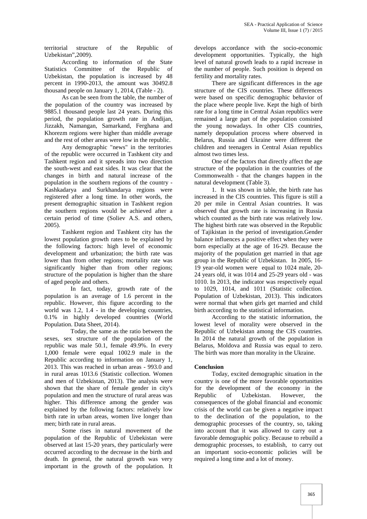territorial structure of the Republic of Uzbekistan",2009).

According to information of the State Statistics Committee of the Republic of Uzbekistan, the population is increased by 48 percent in 1990-2013, the amount was 30492.8 thousand people on January 1, 2014, (Table - 2).

As can be seen from the table, the number of the population of the country was increased by 9885.1 thousand people last 24 years. During this period, the population growth rate in Andijan, Jizzakh, Namangan, Samarkand, Ferghana and Khorezm regions were higher than middle average and the rest of other areas were low in the republic.

Any demographic "news" in the territories of the republic were occurred in Tashkent city and Tashkent region and it spreads into two direction the south-west and east sides. It was clear that the changes in birth and natural increase of the population in the southern regions of the country - Kashkadarya and Surkhandarya regions were registered after a long time. In other words, the present demographic situation in Tashkent region the southern regions would be achieved after a certain period of time (Soliev A.S. and others, 2005).

Tashkent region and Tashkent city has the lowest population growth rates to be explained by the following factors: high level of economic development and urbanization; the birth rate was lower than from other regions; mortality rate was significantly higher than from other regions; structure of the population is higher than the share of aged people and others.

In fact, today, growth rate of the population is an average of 1.6 percent in the republic. However, this figure according to the world was 1.2, 1.4 - in the developing countries, 0.1% in highly developed countries (World Population. Data Sheet, 2014).

Today, the same as the ratio between the sexes, sex structure of the population of the republic was male 50.1, female 49.9%. In every 1,000 female were equal 1002.9 male in the Republic according to information on January 1, 2013. This was reached in urban areas - 993.0 and in rural areas 1013.6 (Statistic collection. Women and men of Uzbekistan, 2013). The analysis were shown that the share of female gender in city's population and men the structure of rural areas was higher. This difference among the gender was explained by the following factors: relatively low birth rate in urban areas, women live longer than men; birth rate in rural areas.

Some rises in natural movement of the population of the Republic of Uzbekistan were observed at last 15-20 years, they particularly were occurred according to the decrease in the birth and death. In general, the natural growth was very important in the growth of the population. It

develops accordance with the socio-economic development opportunities. Typically, the high level of natural growth leads to a rapid increase in the number of people. Such position is depend on fertility and mortality rates.

There are significant differences in the age structure of the CIS countries. These differences were based on specific demographic behavior of the place where people live. Kept the high of birth rate for a long time in Central Asian republics were remained a large part of the population consisted the young nowadays. In other CIS countries, namely depopulation process where observed in Belarus, Russia and Ukraine were different the children and teenagers in Central Asian republics almost two times less.

One of the factors that directly affect the age structure of the population in the countries of the Commonwealth - that the changes happen in the natural development (Table 3).

1. It was shown in table, the birth rate has increased in the CIS countries. This figure is still a 20 per mile in Central Asian countries. It was observed that growth rate is increasing in Russia which counted as the birth rate was relatively low. The highest birth rate was observed in the Republic of Tajikistan in the period of investigation.Gender balance influences a positive effect when they were born especially at the age of 16-29. Because the majority of the population get married in that age group in the Republic of Uzbekistan. In 2005, 16- 19 year-old women were equal to 1024 male, 20- 24 years old, it was 1014 and 25-29 years old - was 1010. In 2013, the indicator was respectively equal to 1029, 1014, and 1011 (Statistic collection. Population of Uzbekistan, 2013). This indicators were normal that when girls get married and child birth according to the statistical information.

According to the statistic information, the lowest level of morality were observed in the Republic of Uzbekistan among the CIS countries. In 2014 the natural growth of the population in Belarus, Moldova and Russia was equal to zero. The birth was more than morality in the Ukraine.

#### **Conclusion**

Today, excited demographic situation in the country is one of the more favorable opportunities for the development of the economy in the Republic of Uzbekistan. However, the consequences of the global financial and economic crisis of the world can be given a negative impact to the declination of the population, to the demographic processes of the country, so, taking into account that it was allowed to carry out a favorable demographic policy. Because to rebuild a demographic processes, to establish, to carry out an important socio-economic policies will be required a long time and a lot of money.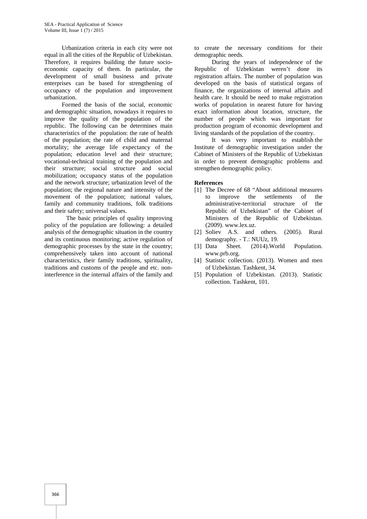Urbanization criteria in each city were not equal in all the cities of the Republic of Uzbekistan. Therefore, it requires building the future socio economic capacity of them. In particular, the development of small business and private enterprises can be based for strengthening of occupancy of the population and improvement urbanization.

Formed the basis of the social, economic and demographic situation, nowadays it requires to improve the quality of the population of the republic. The following can be determines main characteristics of the population: the rate of health of the population; the rate of child and maternal mortality; the average life expectancy of the population; education level and their structure; vocational-technical training of the population and their structure; social structure and social mobilization; occupancy status of the population and the network structure; urbanization level of the population; the regional nature and intensity of the movement of the population; national values, family and community traditions, folk traditions and their safety; universal values.

The basic principles of quality improving policy of the population are following: a detailed analysis of the demographic situation in the country and its continuous monitoring; active regulation of demographic processes by the state in the country; comprehensively taken into account of national characteristics, their family traditions, spirituality, traditions and customs of the people and etc. noninterference in the internal affairs of the family and

to create the necessary conditions for their demographic needs.

During the years of independence of the Republic of Uzbekistan weren't done its registration affairs. The number of population was developed on the basis of statistical organs of finance, the organizations of internal affairs and health care. It should be need to make registration works of population in nearest future for having exact information about location, structure, the number of people which was important for production program of economic development and living standards of the population of the country.

It was very important to establish the Institute of demographic investigation under the Cabinet of Ministers of the Republic of Uzbekistan in order to prevent demographic problems and strengthen demographic policy.

#### **References**

- [1] The Decree of 68 "About additional measures to improve the settlements of the administrative-territorial structure of the Republic of Uzbekistan" of the Cabinet of Ministers of the Republic of Uzbekistan. (2009). www.lex.uz.
- [2] Soliev A.S. and others. (2005). Rural demography. - T.: NUUz, 19.<br>[3] Data Sheet. (2014). Wor
- Sheet. (2014).World Population. www.prb.org.
- [4] Statistic collection. (2013). Women and men of Uzbekistan. Tashkent, 34.
- [5] Population of Uzbekistan. (2013). Statistic collection. Tashkent, 101.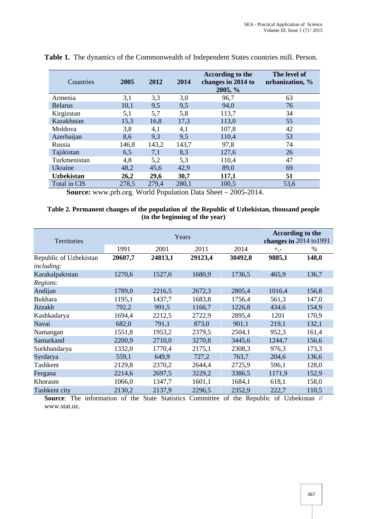| Countries         | 2005  | 2012  | 2014  | According to the<br>changes in 2014 to<br>2005, % | The level of<br>urbanization, % |
|-------------------|-------|-------|-------|---------------------------------------------------|---------------------------------|
| Armenia           | 3,1   | 3,3   | 3,0   | 96,7                                              | 63                              |
| <b>Belarus</b>    | 10,1  | 9,5   | 9,5   | 94,0                                              | 76                              |
| Kirgizstan        | 5,1   | 5,7   | 5,8   | 113,7                                             | 34                              |
| Kazakhstan        | 15,3  | 16,8  | 17,3  | 113,0                                             | 55                              |
| Moldova           | 3,8   | 4,1   | 4,1   | 107,8                                             | 42                              |
| Azerbaijan        | 8,6   | 9,3   | 9,5   | 110,4                                             | 53                              |
| Russia            | 146,8 | 143,2 | 143,7 | 97,8                                              | 74                              |
| Tajikistan        | 6,5   | 7,1   | 8,3   | 127,6                                             | 26                              |
| Turkmenistan      | 4,8   | 5,2   | 5,3   | 110,4                                             | 47                              |
| Ukraine           | 48,2  | 45,6  | 42,9  | 89,0                                              | 69                              |
| <b>Uzbekistan</b> | 26,2  | 29,6  | 30,7  | 117,1                                             | 51                              |
| Total in CIS      | 278,5 | 279,4 | 280,1 | 100,5                                             | 53,6                            |

**Table 1.** The dynamics of the Commonwealth of Independent States countries mill. Person.

**Source:** www.prb.org. World Population Data Sheet – 2005-2014.

#### **Table 2. Permanent changes of the population of the Republic of Uzbekistan, thousand people (to the beginning of the year)**

| <b>Territories</b>     |         | Years   | According to the<br>changes in 2014 to 1991 |         |        |       |
|------------------------|---------|---------|---------------------------------------------|---------|--------|-------|
|                        | 1991    | 2001    | 2011                                        | 2014    | $+,-$  | %     |
| Republic of Uzbekistan | 20607,7 | 24813,1 | 29123,4                                     | 30492,8 | 9885,1 | 148,0 |
| <i>including:</i>      |         |         |                                             |         |        |       |
| Karakalpakistan        | 1270,6  | 1527,0  | 1680,9                                      | 1736,5  | 465,9  | 136,7 |
| Regions:               |         |         |                                             |         |        |       |
| Andijan                | 1789,0  | 2216,5  | 2672,3                                      | 2805,4  | 1016,4 | 156,8 |
| <b>Bukhara</b>         | 1195,1  | 1437,7  | 1683,8                                      | 1756,4  | 561,3  | 147,0 |
| Jizzakh                | 792,2   | 991,5   | 1166,7                                      | 1226,8  | 434,6  | 154,9 |
| Kashkadarya            | 1694,4  | 2212,5  | 2722,9                                      | 2895,4  | 1201   | 170,9 |
| Navai                  | 682,0   | 791,1   | 873,0                                       | 901,1   | 219,1  | 132,1 |
| Namangan               | 1551,8  | 1953,2  | 2379,5                                      | 2504,1  | 952,3  | 161,4 |
| Samarkand              | 2200,9  | 2710,0  | 3270,8                                      | 3445,6  | 1244,7 | 156,6 |
| Surkhandarya           | 1332,0  | 1770,4  | 2175,1                                      | 2308,3  | 976,3  | 173,3 |
| Syrdarya               | 559,1   | 649,9   | 727,2                                       | 763,7   | 204,6  | 136,6 |
| Tashkent               | 2129,8  | 2370,2  | 2644,4                                      | 2725,9  | 596,1  | 128,0 |
| Fergana                | 2214,6  | 2697,5  | 3229,2                                      | 3386,5  | 1171,9 | 152,9 |
| Khorasm                | 1066,0  | 1347,7  | 1601,1                                      | 1684,1  | 618,1  | 158,0 |
| Tashkent city          | 2130,2  | 2137,9  | 2296,5                                      | 2352,9  | 222,7  | 110,5 |

**Source**: The information of the State Statistics Committee of the Republic of Uzbekistan // www.stat.uz.